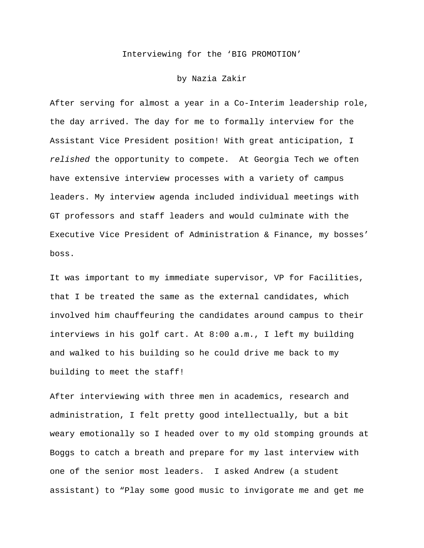## Interviewing for the 'BIG PROMOTION'

## by Nazia Zakir

After serving for almost a year in a Co-Interim leadership role, the day arrived. The day for me to formally interview for the Assistant Vice President position! With great anticipation, I *relished* the opportunity to compete. At Georgia Tech we often have extensive interview processes with a variety of campus leaders. My interview agenda included individual meetings with GT professors and staff leaders and would culminate with the Executive Vice President of Administration & Finance, my bosses' boss.

It was important to my immediate supervisor, VP for Facilities, that I be treated the same as the external candidates, which involved him chauffeuring the candidates around campus to their interviews in his golf cart. At 8:00 a.m., I left my building and walked to his building so he could drive me back to my building to meet the staff!

After interviewing with three men in academics, research and administration, I felt pretty good intellectually, but a bit weary emotionally so I headed over to my old stomping grounds at Boggs to catch a breath and prepare for my last interview with one of the senior most leaders. I asked Andrew (a student assistant) to "Play some good music to invigorate me and get me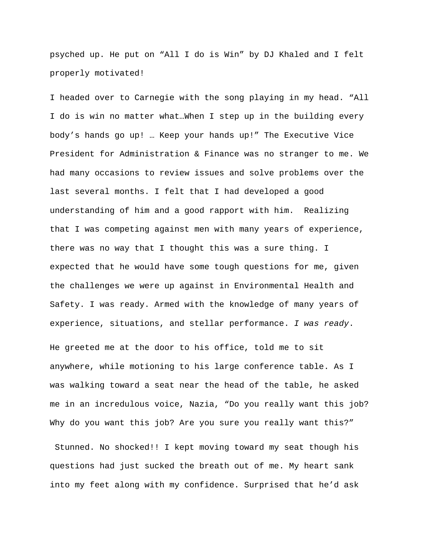psyched up. He put on "All I do is Win" by DJ Khaled and I felt properly motivated!

I headed over to Carnegie with the song playing in my head. "All I do is win no matter what…When I step up in the building every body's hands go up! … Keep your hands up!" The Executive Vice President for Administration & Finance was no stranger to me. We had many occasions to review issues and solve problems over the last several months. I felt that I had developed a good understanding of him and a good rapport with him. Realizing that I was competing against men with many years of experience, there was no way that I thought this was a sure thing. I expected that he would have some tough questions for me, given the challenges we were up against in Environmental Health and Safety. I was ready. Armed with the knowledge of many years of experience, situations, and stellar performance. *I was ready*.

He greeted me at the door to his office, told me to sit anywhere, while motioning to his large conference table. As I was walking toward a seat near the head of the table, he asked me in an incredulous voice, Nazia, "Do you really want this job? Why do you want this job? Are you sure you really want this?"

Stunned. No shocked!! I kept moving toward my seat though his questions had just sucked the breath out of me. My heart sank into my feet along with my confidence. Surprised that he'd ask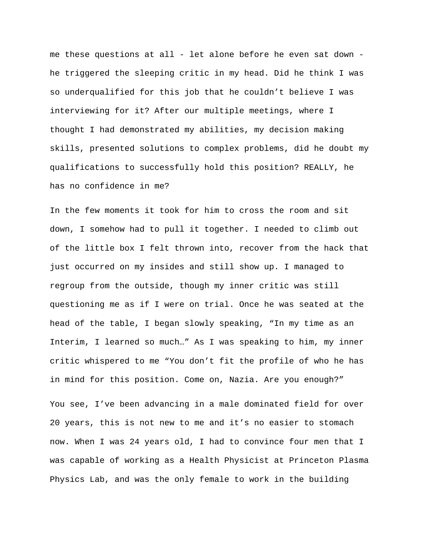me these questions at all - let alone before he even sat down he triggered the sleeping critic in my head. Did he think I was so underqualified for this job that he couldn't believe I was interviewing for it? After our multiple meetings, where I thought I had demonstrated my abilities, my decision making skills, presented solutions to complex problems, did he doubt my qualifications to successfully hold this position? REALLY, he has no confidence in me?

In the few moments it took for him to cross the room and sit down, I somehow had to pull it together. I needed to climb out of the little box I felt thrown into, recover from the hack that just occurred on my insides and still show up. I managed to regroup from the outside, though my inner critic was still questioning me as if I were on trial. Once he was seated at the head of the table, I began slowly speaking, "In my time as an Interim, I learned so much…" As I was speaking to him, my inner critic whispered to me "You don't fit the profile of who he has in mind for this position. Come on, Nazia. Are you enough?"

You see, I've been advancing in a male dominated field for over 20 years, this is not new to me and it's no easier to stomach now. When I was 24 years old, I had to convince four men that I was capable of working as a Health Physicist at Princeton Plasma Physics Lab, and was the only female to work in the building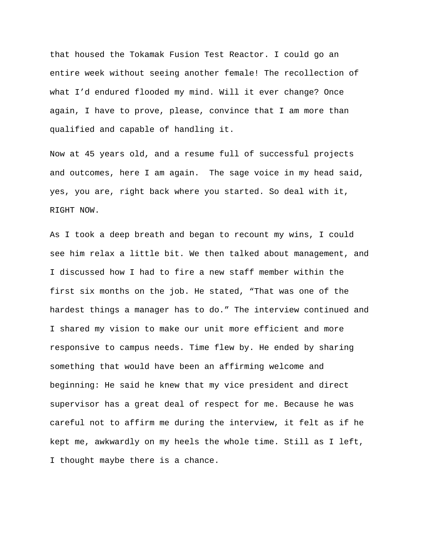that housed the Tokamak Fusion Test Reactor. I could go an entire week without seeing another female! The recollection of what I'd endured flooded my mind. Will it ever change? Once again, I have to prove, please, convince that I am more than qualified and capable of handling it.

Now at 45 years old, and a resume full of successful projects and outcomes, here I am again. The sage voice in my head said, yes, you are, right back where you started. So deal with it, RIGHT NOW.

As I took a deep breath and began to recount my wins, I could see him relax a little bit. We then talked about management, and I discussed how I had to fire a new staff member within the first six months on the job. He stated, "That was one of the hardest things a manager has to do." The interview continued and I shared my vision to make our unit more efficient and more responsive to campus needs. Time flew by. He ended by sharing something that would have been an affirming welcome and beginning: He said he knew that my vice president and direct supervisor has a great deal of respect for me. Because he was careful not to affirm me during the interview, it felt as if he kept me, awkwardly on my heels the whole time. Still as I left, I thought maybe there is a chance.